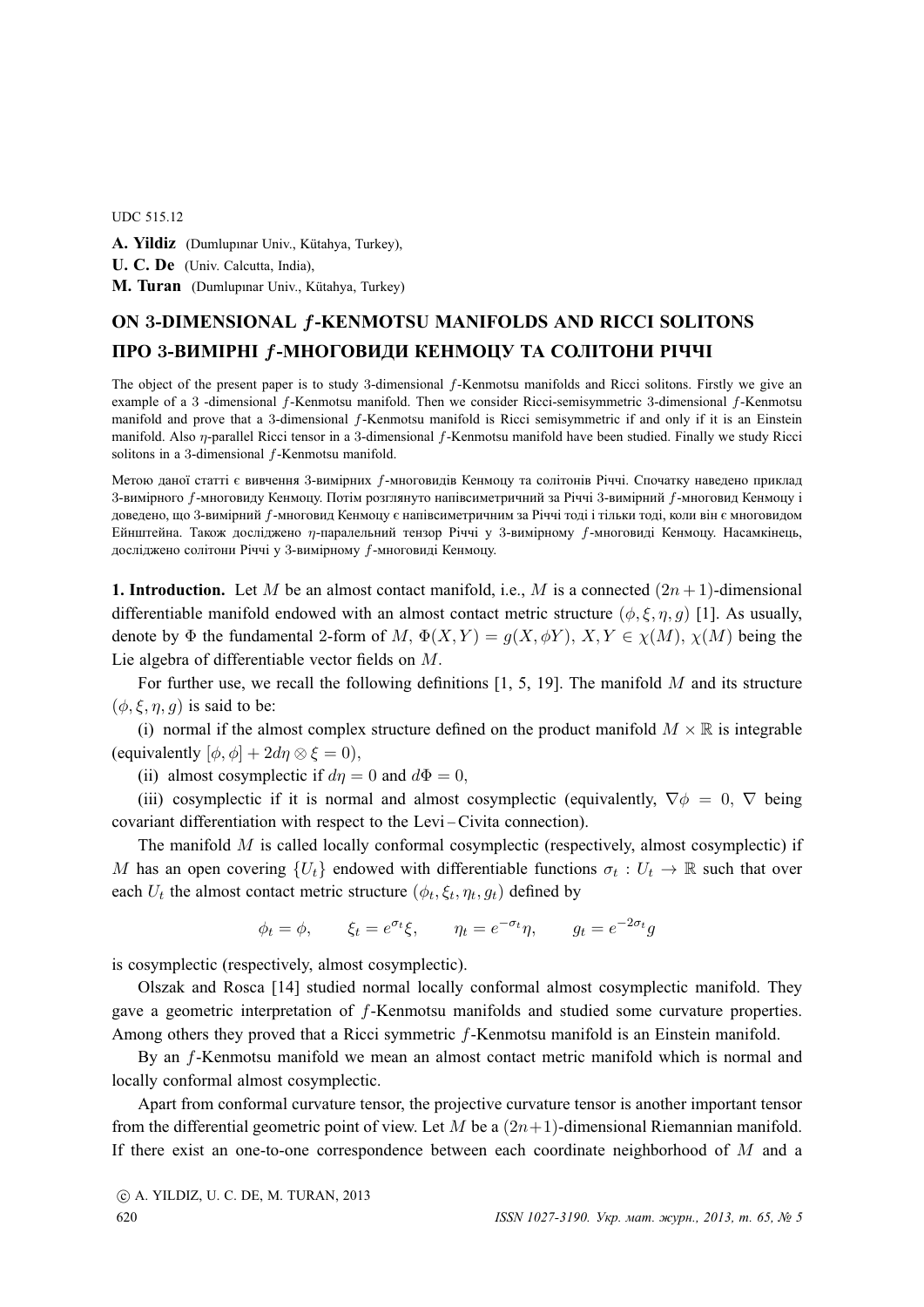## UDC 515.12

A. Yildiz (Dumlupınar Univ., Kütahya, Turkey), **U. C. De** (Univ. Calcutta, India), **M. Turan** (Dumlupinar Univ., Kütahya, Turkey)

## **ON** 3**-DIMENSIONAL** f**-KENMOTSU MANIFOLDS AND RICCI SOLITONS ПРО** 3**-ВИМIРНI** f**-МНОГОВИДИ КЕНМОЦУ ТА СОЛIТОНИ РIЧЧI**

The object of the present paper is to study 3-dimensional f-Kenmotsu manifolds and Ricci solitons. Firstly we give an example of a 3 -dimensional f-Kenmotsu manifold. Then we consider Ricci-semisymmetric 3-dimensional f-Kenmotsu manifold and prove that a 3-dimensional f-Kenmotsu manifold is Ricci semisymmetric if and only if it is an Einstein manifold. Also *n*-parallel Ricci tensor in a 3-dimensional *f*-Kenmotsu manifold have been studied. Finally we study Ricci solitons in a 3-dimensional f-Kenmotsu manifold.

Метою даної статтi є вивчення 3-вимiрних f-многовидiв Кенмоцу та солiтонiв Рiччi. Спочатку наведено приклад 3-вимiрного f-многовиду Кенмоцу. Потiм розглянуто напiвсиметричний за Рiччi 3-вимiрний f-многовид Кенмоцу i доведено, що 3-вимiрний f-многовид Кенмоцу є напiвсиметричним за Рiччi тодi i тiльки тодi, коли вiн є многовидом Ейнштейна. Також дослiджено η-паралельний тензор Рiччi у 3-вимiрному f-многовидi Кенмоцу. Насамкiнець, дослiджено солiтони Рiччi у 3-вимiрному f-многовидi Кенмоцу.

**1. Introduction.** Let M be an almost contact manifold, i.e., M is a connected  $(2n + 1)$ -dimensional differentiable manifold endowed with an almost contact metric structure  $(\phi, \xi, \eta, g)$  [1]. As usually, denote by  $\Phi$  the fundamental 2-form of M,  $\Phi(X, Y) = g(X, \phi Y)$ ,  $X, Y \in \chi(M)$ ,  $\chi(M)$  being the Lie algebra of differentiable vector fields on M.

For further use, we recall the following definitions  $[1, 5, 19]$ . The manifold M and its structure  $(\phi, \xi, \eta, q)$  is said to be:

(i) normal if the almost complex structure defined on the product manifold  $M \times \mathbb{R}$  is integrable (equivalently  $[\phi, \phi] + 2d\eta \otimes \xi = 0$ ),

(ii) almost cosymplectic if  $d\eta = 0$  and  $d\Phi = 0$ ,

(iii) cosymplectic if it is normal and almost cosymplectic (equivalently,  $\nabla \phi = 0$ ,  $\nabla$  being covariant differentiation with respect to the Levi – Civita connection).

The manifold  $M$  is called locally conformal cosymplectic (respectively, almost cosymplectic) if M has an open covering  $\{U_t\}$  endowed with differentiable functions  $\sigma_t: U_t \to \mathbb{R}$  such that over each  $U_t$  the almost contact metric structure  $(\phi_t, \xi_t, \eta_t, g_t)$  defined by

 $\phi_t = \phi, \qquad \xi_t = e^{\sigma_t} \xi, \qquad \eta_t = e^{-\sigma_t} \eta, \qquad g_t = e^{-2\sigma_t} g$ 

is cosymplectic (respectively, almost cosymplectic).

Olszak and Rosca [14] studied normal locally conformal almost cosymplectic manifold. They gave a geometric interpretation of f-Kenmotsu manifolds and studied some curvature properties. Among others they proved that a Ricci symmetric f-Kenmotsu manifold is an Einstein manifold.

By an f-Kenmotsu manifold we mean an almost contact metric manifold which is normal and locally conformal almost cosymplectic.

Apart from conformal curvature tensor, the projective curvature tensor is another important tensor from the differential geometric point of view. Let M be a  $(2n+1)$ -dimensional Riemannian manifold. If there exist an one-to-one correspondence between each coordinate neighborhood of  $M$  and a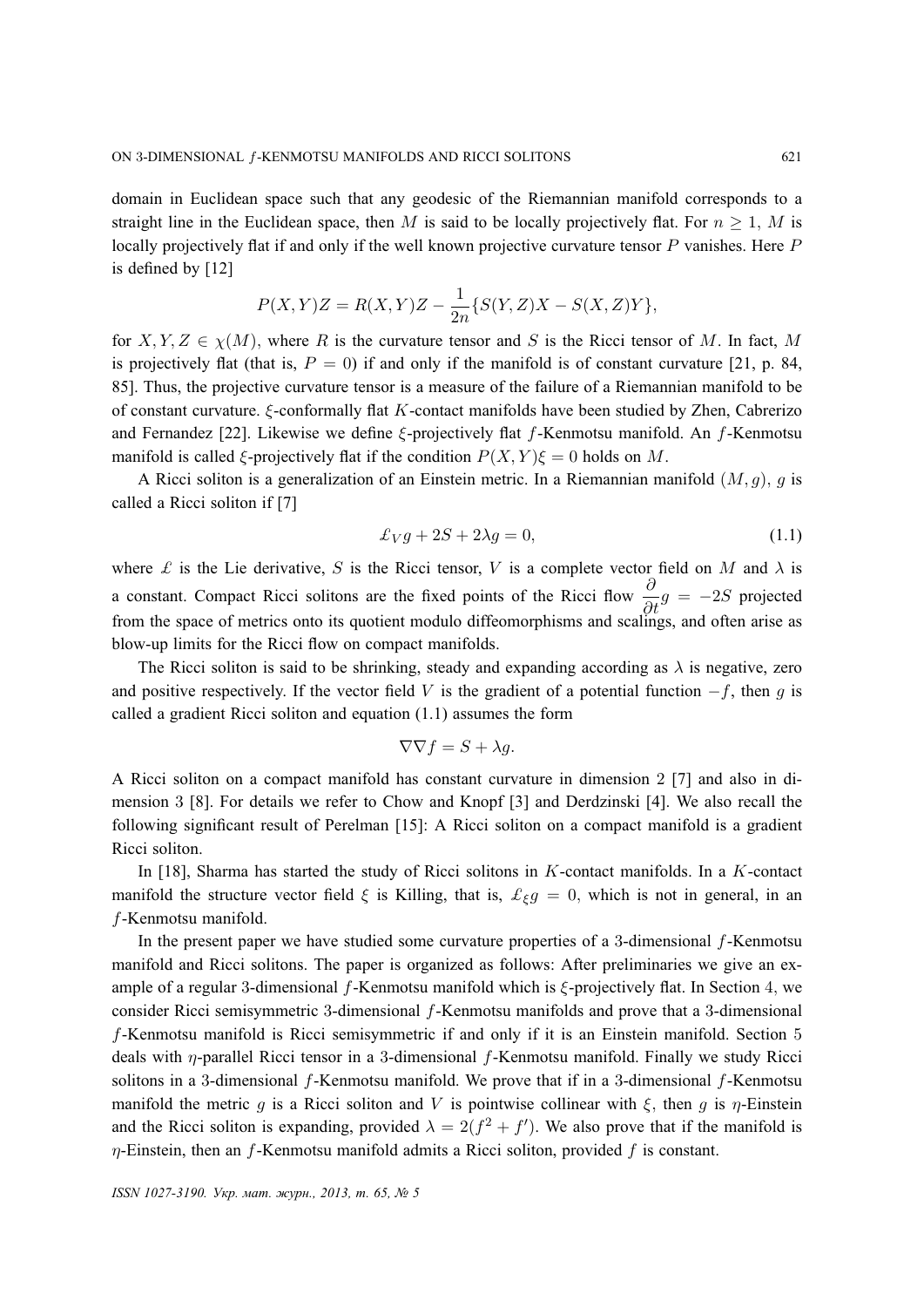domain in Euclidean space such that any geodesic of the Riemannian manifold corresponds to a straight line in the Euclidean space, then M is said to be locally projectively flat. For  $n \geq 1$ , M is locally projectively flat if and only if the well known projective curvature tensor P vanishes. Here P is defined by [12]

$$
P(X,Y)Z = R(X,Y)Z - \frac{1}{2n} \{ S(Y,Z)X - S(X,Z)Y \},
$$

for X, Y, Z  $\in \chi(M)$ , where R is the curvature tensor and S is the Ricci tensor of M. In fact, M is projectively flat (that is,  $P = 0$ ) if and only if the manifold is of constant curvature [21, p. 84, 85]. Thus, the projective curvature tensor is a measure of the failure of a Riemannian manifold to be of constant curvature. ξ-conformally flat K-contact manifolds have been studied by Zhen, Cabrerizo and Fernandez [22]. Likewise we define ξ-projectively flat f-Kenmotsu manifold. An f-Kenmotsu manifold is called  $\zeta$ -projectively flat if the condition  $P(X, Y)\zeta = 0$  holds on M.

A Ricci soliton is a generalization of an Einstein metric. In a Riemannian manifold  $(M, g)$ , g is called a Ricci soliton if [7]

$$
\pounds_V g + 2S + 2\lambda g = 0,\tag{1.1}
$$

where  $\mathcal L$  is the Lie derivative, S is the Ricci tensor, V is a complete vector field on M and  $\lambda$  is a constant. Compact Ricci solitons are the fixed points of the Ricci flow  $\frac{\partial}{\partial t}g = -2S$  projected from the space of metrics onto its quotient modulo diffeomorphisms and scalings, and often arise as blow-up limits for the Ricci flow on compact manifolds.

The Ricci soliton is said to be shrinking, steady and expanding according as  $\lambda$  is negative, zero and positive respectively. If the vector field V is the gradient of a potential function  $-f$ , then q is called a gradient Ricci soliton and equation (1.1) assumes the form

$$
\nabla \nabla f = S + \lambda g.
$$

A Ricci soliton on a compact manifold has constant curvature in dimension 2 [7] and also in dimension 3 [8]. For details we refer to Chow and Knopf [3] and Derdzinski [4]. We also recall the following significant result of Perelman [15]: A Ricci soliton on a compact manifold is a gradient Ricci soliton.

In [18], Sharma has started the study of Ricci solitons in  $K$ -contact manifolds. In a  $K$ -contact manifold the structure vector field  $\xi$  is Killing, that is,  $\mathcal{L}_{\xi}g = 0$ , which is not in general, in an f-Kenmotsu manifold.

In the present paper we have studied some curvature properties of a 3-dimensional  $f$ -Kenmotsu manifold and Ricci solitons. The paper is organized as follows: After preliminaries we give an example of a regular 3-dimensional f-Kenmotsu manifold which is  $\xi$ -projectively flat. In Section 4, we consider Ricci semisymmetric 3-dimensional f-Kenmotsu manifolds and prove that a 3-dimensional f-Kenmotsu manifold is Ricci semisymmetric if and only if it is an Einstein manifold. Section 5 deals with η-parallel Ricci tensor in a 3-dimensional f-Kenmotsu manifold. Finally we study Ricci solitons in a 3-dimensional f-Kenmotsu manifold. We prove that if in a 3-dimensional f-Kenmotsu manifold the metric q is a Ricci soliton and V is pointwise collinear with  $\xi$ , then q is  $\eta$ -Einstein and the Ricci soliton is expanding, provided  $\lambda = 2(f^2 + f')$ . We also prove that if the manifold is  $\eta$ -Einstein, then an f-Kenmotsu manifold admits a Ricci soliton, provided f is constant.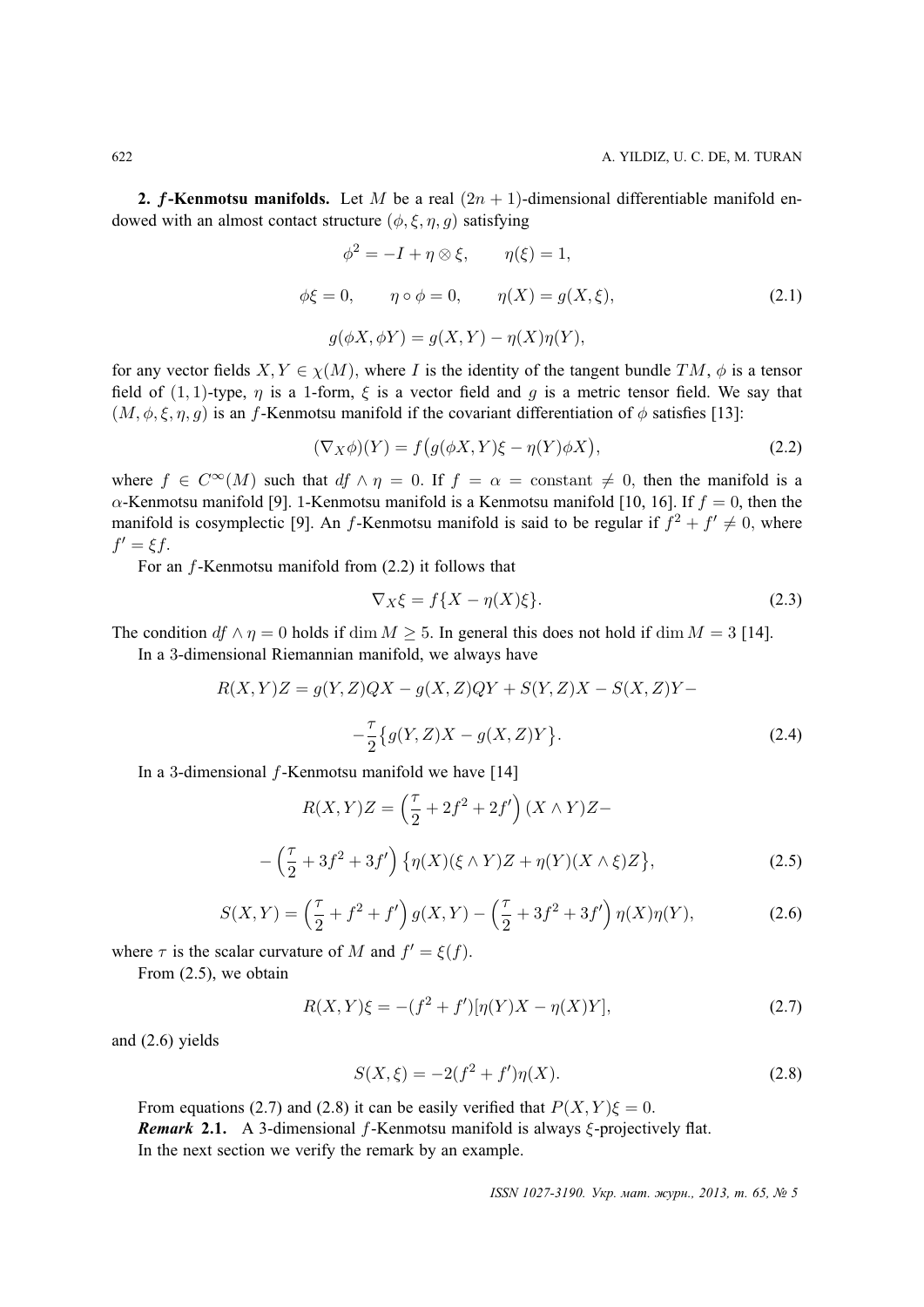**2.** f-Kenmotsu manifolds. Let M be a real  $(2n + 1)$ -dimensional differentiable manifold endowed with an almost contact structure  $(\phi, \xi, \eta, g)$  satisfying

$$
\phi^2 = -I + \eta \otimes \xi, \qquad \eta(\xi) = 1,
$$
  

$$
\phi\xi = 0, \qquad \eta \circ \phi = 0, \qquad \eta(X) = g(X, \xi),
$$
  

$$
g(\phi X, \phi Y) = g(X, Y) - \eta(X)\eta(Y),
$$
  
(2.1)

for any vector fields  $X, Y \in \chi(M)$ , where I is the identity of the tangent bundle  $TM$ ,  $\phi$  is a tensor field of  $(1, 1)$ -type,  $\eta$  is a 1-form,  $\xi$  is a vector field and g is a metric tensor field. We say that  $(M, \phi, \xi, \eta, g)$  is an f-Kenmotsu manifold if the covariant differentiation of  $\phi$  satisfies [13]:

$$
(\nabla_X \phi)(Y) = f\big(g(\phi X, Y)\xi - \eta(Y)\phi X\big),\tag{2.2}
$$

where  $f \in C^{\infty}(M)$  such that  $df \wedge \eta = 0$ . If  $f = \alpha = constant \neq 0$ , then the manifold is a  $\alpha$ -Kenmotsu manifold [9]. 1-Kenmotsu manifold is a Kenmotsu manifold [10, 16]. If  $f = 0$ , then the manifold is cosymplectic [9]. An f-Kenmotsu manifold is said to be regular if  $f^2 + f' \neq 0$ , where  $f' = \xi f$ .

For an f-Kenmotsu manifold from (2.2) it follows that

$$
\nabla_X \xi = f\{X - \eta(X)\xi\}.
$$
\n(2.3)

The condition  $df \wedge \eta = 0$  holds if dim  $M \ge 5$ . In general this does not hold if dim  $M = 3$  [14].

In a 3-dimensional Riemannian manifold, we always have

$$
R(X,Y)Z = g(Y,Z)QX - g(X,Z)QY + S(Y,Z)X - S(X,Z)Y - \frac{\tau}{2} \{g(Y,Z)X - g(X,Z)Y\}.
$$
\n(2.4)

In a 3-dimensional  $f$ -Kenmotsu manifold we have [14]

$$
R(X,Y)Z = \left(\frac{\tau}{2} + 2f^2 + 2f'\right)(X \wedge Y)Z -
$$

$$
-\left(\frac{\tau}{2} + 3f^2 + 3f'\right)\left\{\eta(X)(\xi \wedge Y)Z + \eta(Y)(X \wedge \xi)Z\right\},\tag{2.5}
$$

$$
S(X,Y) = \left(\frac{\tau}{2} + f^2 + f'\right)g(X,Y) - \left(\frac{\tau}{2} + 3f^2 + 3f'\right)\eta(X)\eta(Y),\tag{2.6}
$$

where  $\tau$  is the scalar curvature of M and  $f' = \xi(f)$ .

From (2.5), we obtain

$$
R(X,Y)\xi = -(f^2 + f')[\eta(Y)X - \eta(X)Y],
$$
\n(2.7)

and (2.6) yields

$$
S(X,\xi) = -2(f^2 + f')\eta(X). \tag{2.8}
$$

From equations (2.7) and (2.8) it can be easily verified that  $P(X, Y)\xi = 0$ . *Remark* **2.1.** A 3-dimensional f-Kenmotsu manifold is always ξ-projectively flat. In the next section we verify the remark by an example.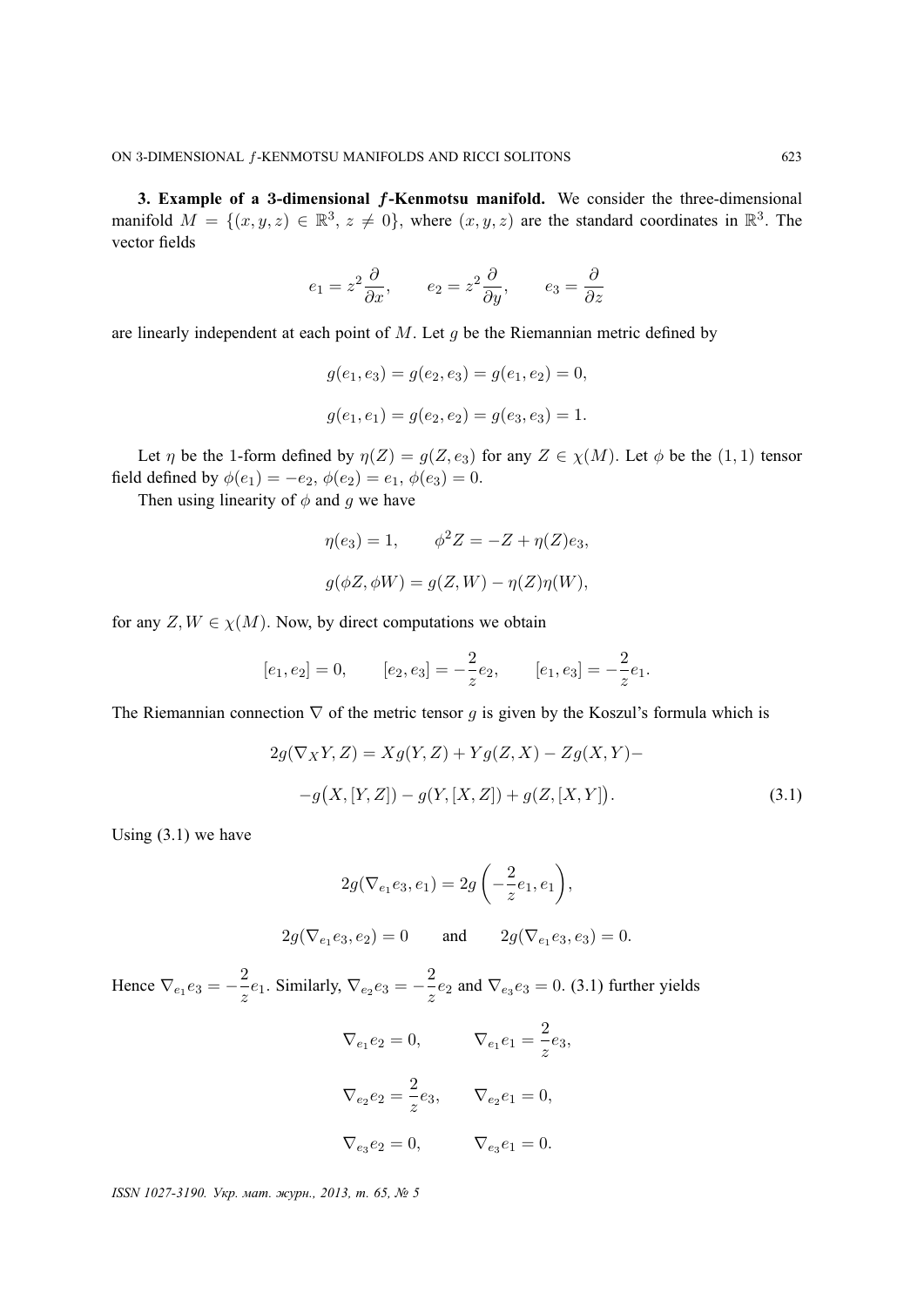**3. Example of a** 3**-dimensional** f**-Kenmotsu manifold.** We consider the three-dimensional manifold  $M = \{(x, y, z) \in \mathbb{R}^3, z \neq 0\}$ , where  $(x, y, z)$  are the standard coordinates in  $\mathbb{R}^3$ . The vector fields

$$
e_1 = z^2 \frac{\partial}{\partial x}, \qquad e_2 = z^2 \frac{\partial}{\partial y}, \qquad e_3 = \frac{\partial}{\partial z}
$$

are linearly independent at each point of  $M$ . Let  $g$  be the Riemannian metric defined by

$$
g(e_1, e_3) = g(e_2, e_3) = g(e_1, e_2) = 0,
$$
  

$$
g(e_1, e_1) = g(e_2, e_2) = g(e_3, e_3) = 1.
$$

Let  $\eta$  be the 1-form defined by  $\eta(Z) = g(Z, e_3)$  for any  $Z \in \chi(M)$ . Let  $\phi$  be the  $(1, 1)$  tensor field defined by  $\phi(e_1) = -e_2, \, \phi(e_2) = e_1, \, \phi(e_3) = 0.$ 

Then using linearity of  $\phi$  and g we have

$$
\eta(e_3) = 1, \qquad \phi^2 Z = -Z + \eta(Z)e_3,
$$
  

$$
g(\phi Z, \phi W) = g(Z, W) - \eta(Z)\eta(W),
$$

for any  $Z, W \in \chi(M)$ . Now, by direct computations we obtain

$$
[e_1, e_2] = 0,
$$
  $[e_2, e_3] = -\frac{2}{z}e_2,$   $[e_1, e_3] = -\frac{2}{z}e_1.$ 

The Riemannian connection  $\nabla$  of the metric tensor q is given by the Koszul's formula which is

$$
2g(\nabla_X Y, Z) = Xg(Y, Z) + Yg(Z, X) - Zg(X, Y) --g(X, [Y, Z]) - g(Y, [X, Z]) + g(Z, [X, Y]).
$$
\n(3.1)

Using  $(3.1)$  we have

$$
2g(\nabla_{e_1}e_3, e_1) = 2g\left(-\frac{2}{z}e_1, e_1\right),
$$

$$
2g(\nabla_{e_1}e_3, e_2) = 0 \t and \t 2g(\nabla_{e_1}e_3, e_3) = 0.
$$

Hence  $\nabla_{e_1} e_3 = -\frac{2}{z}$  $\frac{2}{z}e_1$ . Similarly,  $\nabla_{e_2}e_3 = -\frac{2}{z}$  $\frac{2}{z}e_2$  and  $\nabla_{e_3}e_3 = 0$ . (3.1) further yields

$$
\nabla_{e_1} e_2 = 0, \qquad \nabla_{e_1} e_1 = \frac{2}{z} e_3,
$$
  

$$
\nabla_{e_2} e_2 = \frac{2}{z} e_3, \qquad \nabla_{e_2} e_1 = 0,
$$
  

$$
\nabla_{e_3} e_2 = 0, \qquad \nabla_{e_3} e_1 = 0.
$$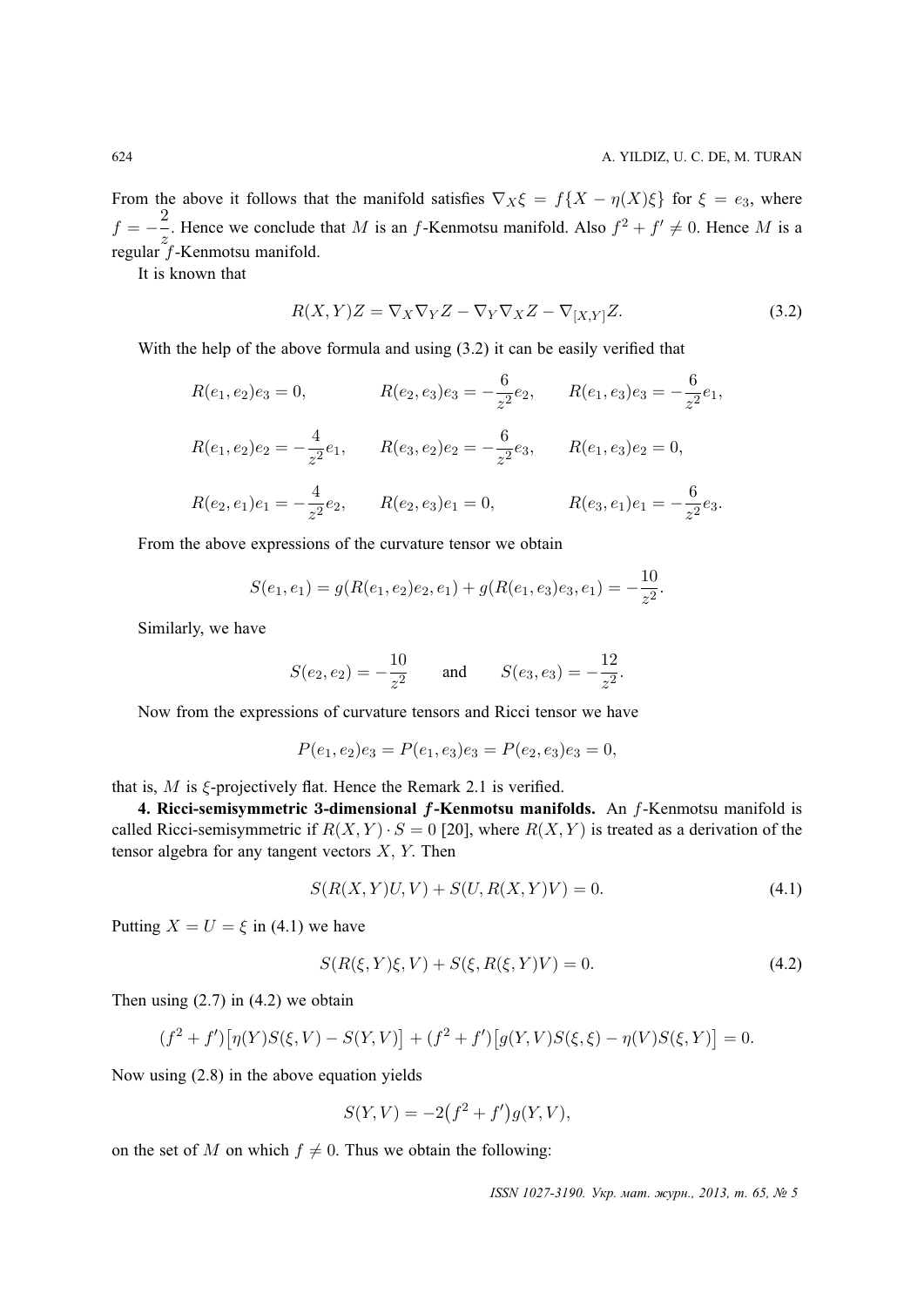From the above it follows that the manifold satisfies  $\nabla_X \xi = f\{X - \eta(X)\xi\}$  for  $\xi = e_3$ , where  $f = -\frac{2}{x}$  $\frac{2}{z}$ . Hence we conclude that M is an f-Kenmotsu manifold. Also  $f^2 + f' \neq 0$ . Hence M is a regular  $\bar{f}$ -Kenmotsu manifold.

It is known that

$$
R(X,Y)Z = \nabla_X \nabla_Y Z - \nabla_Y \nabla_X Z - \nabla_{[X,Y]} Z.
$$
\n(3.2)

With the help of the above formula and using  $(3.2)$  it can be easily verified that

$$
R(e_1, e_2)e_3 = 0, \t R(e_2, e_3)e_3 = -\frac{6}{z^2}e_2, \t R(e_1, e_3)e_3 = -\frac{6}{z^2}e_1,
$$
  
\n
$$
R(e_1, e_2)e_2 = -\frac{4}{z^2}e_1, \t R(e_3, e_2)e_2 = -\frac{6}{z^2}e_3, \t R(e_1, e_3)e_2 = 0,
$$
  
\n
$$
R(e_2, e_1)e_1 = -\frac{4}{z^2}e_2, \t R(e_2, e_3)e_1 = 0, \t R(e_3, e_1)e_1 = -\frac{6}{z^2}e_3.
$$

From the above expressions of the curvature tensor we obtain

$$
S(e_1, e_1) = g(R(e_1, e_2)e_2, e_1) + g(R(e_1, e_3)e_3, e_1) = -\frac{10}{z^2}.
$$

Similarly, we have

$$
S(e_2, e_2) = -\frac{10}{z^2}
$$
 and  $S(e_3, e_3) = -\frac{12}{z^2}$ .

Now from the expressions of curvature tensors and Ricci tensor we have

$$
P(e_1, e_2)e_3 = P(e_1, e_3)e_3 = P(e_2, e_3)e_3 = 0,
$$

that is,  $M$  is  $\xi$ -projectively flat. Hence the Remark 2.1 is verified.

**4. Ricci-semisymmetric** 3**-dimensional** f**-Kenmotsu manifolds.** An f-Kenmotsu manifold is called Ricci-semisymmetric if  $R(X, Y) \cdot S = 0$  [20], where  $R(X, Y)$  is treated as a derivation of the tensor algebra for any tangent vectors  $X$ ,  $Y$ . Then

$$
S(R(X, Y)U, V) + S(U, R(X, Y)V) = 0.
$$
\n(4.1)

Putting  $X = U = \xi$  in (4.1) we have

$$
S(R(\xi, Y)\xi, V) + S(\xi, R(\xi, Y)V) = 0.
$$
\n(4.2)

Then using  $(2.7)$  in  $(4.2)$  we obtain

$$
(f^{2} + f') [\eta(Y)S(\xi, V) - S(Y, V)] + (f^{2} + f') [g(Y, V)S(\xi, \xi) - \eta(V)S(\xi, Y)] = 0.
$$

Now using (2.8) in the above equation yields

$$
S(Y, V) = -2(f^{2} + f')g(Y, V),
$$

on the set of M on which  $f \neq 0$ . Thus we obtain the following: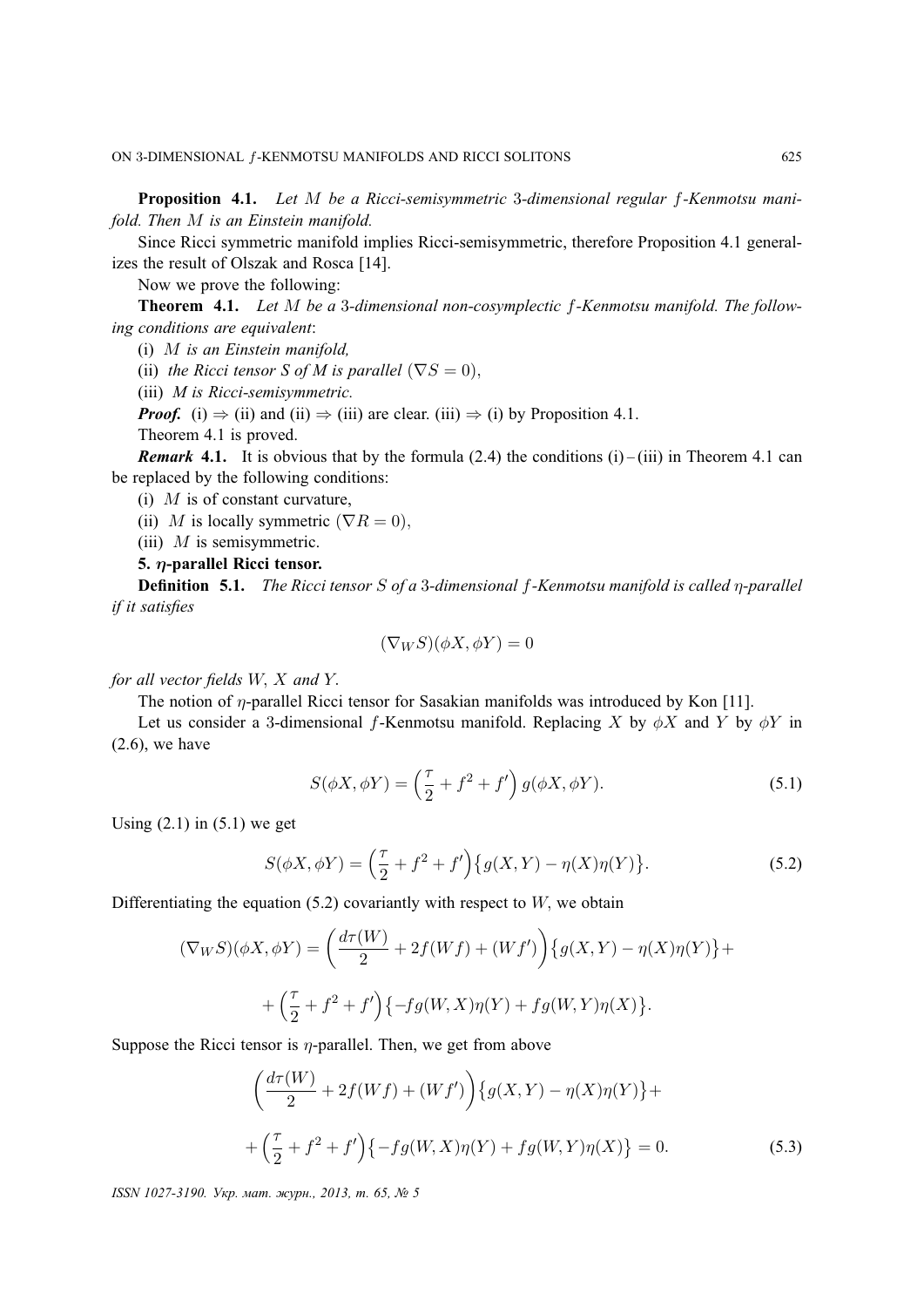**Proposition 4.1.** *Let* M *be a Ricci-semisymmetric* 3*-dimensional regular* f*-Kenmotsu manifold. Then* M *is an Einstein manifold.*

Since Ricci symmetric manifold implies Ricci-semisymmetric, therefore Proposition 4.1 generalizes the result of Olszak and Rosca [14].

Now we prove the following:

**Theorem 4.1.** *Let* M *be a* 3*-dimensional non-cosymplectic* f*-Kenmotsu manifold. The following conditions are equivalent*:

(i) M *is an Einstein manifold,*

(ii) *the Ricci tensor S of M is parallel*  $(\nabla S = 0)$ .

(iii) *M is Ricci-semisymmetric.*

*Proof.* (i)  $\Rightarrow$  (ii) and (ii)  $\Rightarrow$  (iii) are clear. (iii)  $\Rightarrow$  (i) by Proposition 4.1.

Theorem 4.1 is proved.

*Remark* **4.1.** It is obvious that by the formula (2.4) the conditions (i) – (iii) in Theorem 4.1 can be replaced by the following conditions:

(i)  $M$  is of constant curvature,

(ii) M is locally symmetric  $(\nabla R = 0)$ ,

(iii)  $M$  is semisymmetric.

**5.** η**-parallel Ricci tensor.**

**Definition 5.1.** *The Ricci tensor* S *of a* 3*-dimensional* f*-Kenmotsu manifold is called* η*-parallel if it satisfies*

$$
(\nabla_W S)(\phi X, \phi Y) = 0
$$

*for all vector fields* W, X *and* Y.

The notion of  $\eta$ -parallel Ricci tensor for Sasakian manifolds was introduced by Kon [11].

Let us consider a 3-dimensional f-Kenmotsu manifold. Replacing X by  $\phi X$  and Y by  $\phi Y$  in (2.6), we have

$$
S(\phi X, \phi Y) = \left(\frac{\tau}{2} + f^2 + f'\right) g(\phi X, \phi Y). \tag{5.1}
$$

Using  $(2.1)$  in  $(5.1)$  we get

$$
S(\phi X, \phi Y) = \left(\frac{\tau}{2} + f^2 + f'\right) \{g(X, Y) - \eta(X)\eta(Y)\}.
$$
 (5.2)

Differentiating the equation  $(5.2)$  covariantly with respect to  $W$ , we obtain

$$
(\nabla_W S)(\phi X, \phi Y) = \left(\frac{d\tau(W)}{2} + 2f(Wf) + (Wf')\right) \{g(X, Y) - \eta(X)\eta(Y)\} + \\ + \left(\frac{\tau}{2} + f^2 + f'\right) \{-fg(W, X)\eta(Y) + fg(W, Y)\eta(X)\}.
$$

Suppose the Ricci tensor is  $\eta$ -parallel. Then, we get from above

$$
\left(\frac{d\tau(W)}{2} + 2f(Wf) + (Wf')\right) \{g(X,Y) - \eta(X)\eta(Y)\} + \\ + \left(\frac{\tau}{2} + f^2 + f'\right) \{-fg(W,X)\eta(Y) + fg(W,Y)\eta(X)\} = 0. \tag{5.3}
$$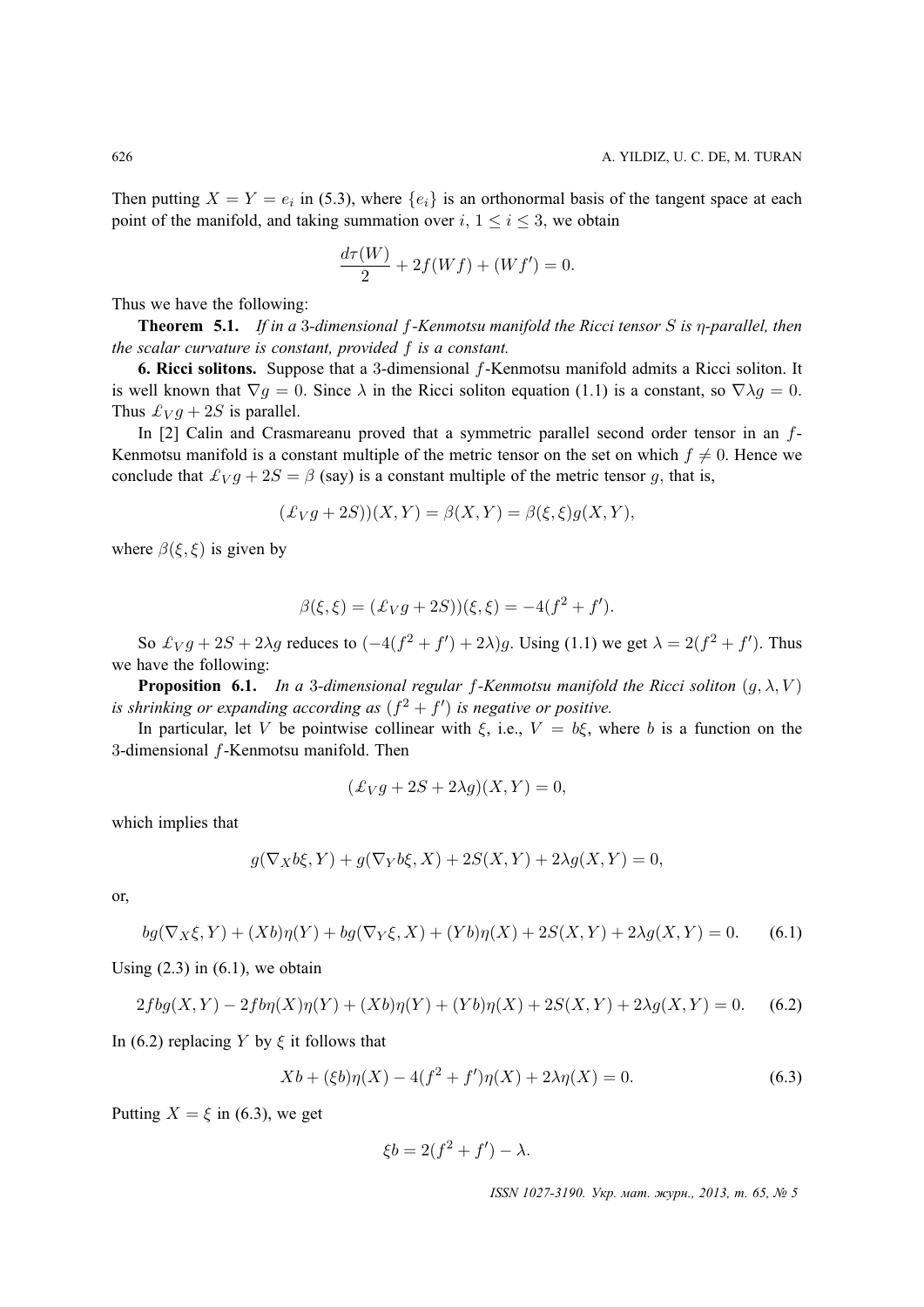Then putting  $X = Y = e_i$  in (5.3), where  $\{e_i\}$  is an orthonormal basis of the tangent space at each point of the manifold, and taking summation over  $i, 1 \le i \le 3$ , we obtain

$$
\frac{d\tau(W)}{2} + 2f(Wf) + (Wf') = 0.
$$

Thus we have the following:

**Theorem 5.1.** *If in a* 3*-dimensional* f*-Kenmotsu manifold the Ricci tensor* S *is* η*-parallel, then the scalar curvature is constant, provided* f *is a constant.*

**6. Ricci solitons.** Suppose that a 3-dimensional f-Kenmotsu manifold admits a Ricci soliton. It is well known that  $\nabla g = 0$ . Since  $\lambda$  in the Ricci soliton equation (1.1) is a constant, so  $\nabla \lambda g = 0$ . Thus  $\mathcal{L}_V g + 2S$  is parallel.

In [2] Calin and Crasmareanu proved that a symmetric parallel second order tensor in an f-Kenmotsu manifold is a constant multiple of the metric tensor on the set on which  $f \neq 0$ . Hence we conclude that  $\mathcal{L}_V g + 2S = \beta$  (say) is a constant multiple of the metric tensor g, that is,

$$
(\mathcal{L}_V g + 2S))(X, Y) = \beta(X, Y) = \beta(\xi, \xi)g(X, Y),
$$

where  $\beta(\xi, \xi)$  is given by

$$
\beta(\xi, \xi) = (\pounds_V g + 2S))(\xi, \xi) = -4(f^2 + f').
$$

So  $\mathcal{L}_V g + 2S + 2\lambda g$  reduces to  $(-4(f^2 + f') + 2\lambda)g$ . Using (1.1) we get  $\lambda = 2(f^2 + f')$ . Thus we have the following:

**Proposition 6.1.** *In a* 3-dimensional regular f-Kenmotsu manifold the Ricci soliton  $(g, \lambda, V)$ is shrinking or expanding according as  $(f^2 + f')$  is negative or positive.

In particular, let V be pointwise collinear with  $\xi$ , i.e.,  $V = b\xi$ , where b is a function on the 3-dimensional f-Kenmotsu manifold. Then

$$
(\pounds_V g + 2S + 2\lambda g)(X, Y) = 0,
$$

which implies that

$$
g(\nabla_X b\xi, Y) + g(\nabla_Y b\xi, X) + 2S(X, Y) + 2\lambda g(X, Y) = 0,
$$

or,

$$
bg(\nabla_X \xi, Y) + (Xb)\eta(Y) + bg(\nabla_Y \xi, X) + (Yb)\eta(X) + 2S(X, Y) + 2\lambda g(X, Y) = 0.
$$
 (6.1)

Using  $(2.3)$  in  $(6.1)$ , we obtain

$$
2fbg(X,Y) - 2fbp(X)\eta(Y) + (Xb)\eta(Y) + (Yb)\eta(X) + 2S(X,Y) + 2\lambda g(X,Y) = 0.
$$
 (6.2)

In (6.2) replacing Y by  $\xi$  it follows that

$$
Xb + (\xi b)\eta(X) - 4(f^2 + f')\eta(X) + 2\lambda\eta(X) = 0.
$$
\n(6.3)

Putting  $X = \xi$  in (6.3), we get

$$
\xi b = 2(f^2 + f') - \lambda.
$$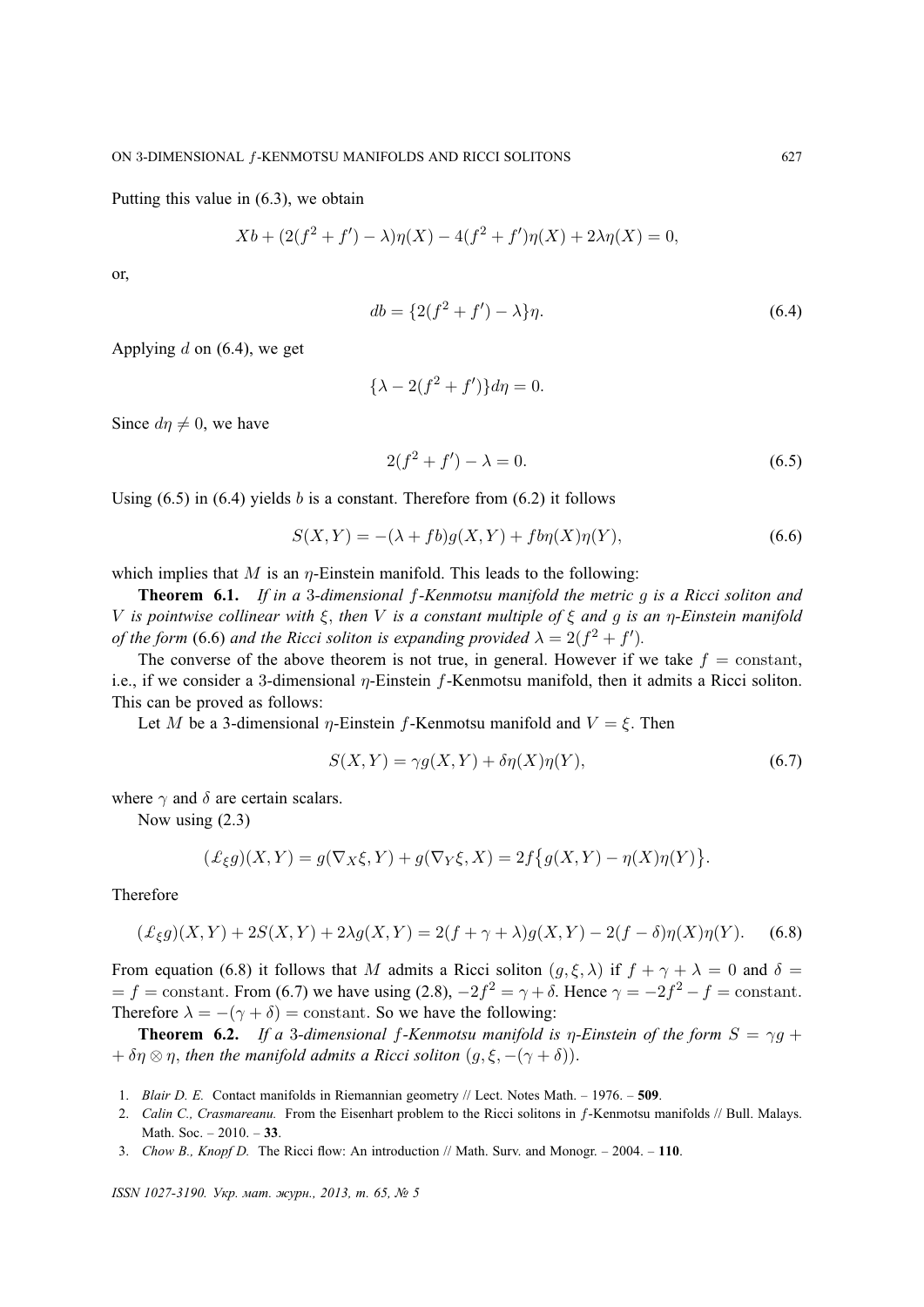Putting this value in (6.3), we obtain

$$
Xb + (2(f2 + f') – \lambda)\eta(X) – 4(f2 + f')\eta(X) + 2\lambda\eta(X) = 0,
$$

or,

$$
db = \{2(f^2 + f') - \lambda\}\eta.
$$
\n(6.4)

Applying  $d$  on (6.4), we get

$$
\{\lambda - 2(f^2 + f')\}d\eta = 0.
$$

Since  $d\eta \neq 0$ , we have

$$
2(f^2 + f') - \lambda = 0.
$$
 (6.5)

Using  $(6.5)$  in  $(6.4)$  yields b is a constant. Therefore from  $(6.2)$  it follows

$$
S(X,Y) = -(\lambda + fb)g(X,Y) + f b \eta(X)\eta(Y),
$$
\n(6.6)

which implies that M is an  $\eta$ -Einstein manifold. This leads to the following:

**Theorem 6.1.** *If in a* 3*-dimensional* f*-Kenmotsu manifold the metric* g *is a Ricci soliton and* V *is pointwise collinear with* ξ, *then* V *is a constant multiple of* ξ *and* g *is an* η*-Einstein manifold of the form* (6.6) *and the Ricci soliton is expanding provided*  $\lambda = 2(f^2 + f')$ *.* 

The converse of the above theorem is not true, in general. However if we take  $f = constant$ , i.e., if we consider a 3-dimensional  $\eta$ -Einstein f-Kenmotsu manifold, then it admits a Ricci soliton. This can be proved as follows:

Let M be a 3-dimensional  $\eta$ -Einstein f-Kenmotsu manifold and  $V = \xi$ . Then

$$
S(X,Y) = \gamma g(X,Y) + \delta \eta(X)\eta(Y),\tag{6.7}
$$

where  $\gamma$  and  $\delta$  are certain scalars.

Now using (2.3)

$$
(\mathcal{L}_{\xi}g)(X,Y) = g(\nabla_X \xi, Y) + g(\nabla_Y \xi, X) = 2f\{g(X,Y) - \eta(X)\eta(Y)\}.
$$

Therefore

$$
(\pounds_{\xi}g)(X,Y) + 2S(X,Y) + 2\lambda g(X,Y) = 2(f + \gamma + \lambda)g(X,Y) - 2(f - \delta)\eta(X)\eta(Y). \tag{6.8}
$$

From equation (6.8) it follows that M admits a Ricci soliton  $(g, \xi, \lambda)$  if  $f + \gamma + \lambda = 0$  and  $\delta =$  $f = f = \text{constant}$ . From (6.7) we have using (2.8),  $-2f^2 = \gamma + \delta$ . Hence  $\gamma = -2f^2 - f = \text{constant}$ . Therefore  $\lambda = -(\gamma + \delta) = \text{constant}$ . So we have the following:

**Theorem 6.2.** *If a* 3-dimensional f-Kenmotsu manifold is  $\eta$ -Einstein of the form  $S = \gamma g + \eta g$  $+ \delta \eta \otimes \eta$ , *then the manifold admits a Ricci soliton*  $(g, \xi, -(\gamma + \delta))$ .

- 1. *Blair D. E.* Contact manifolds in Riemannian geometry // Lect. Notes Math. 1976. **509**.
- 2. *Calin C., Crasmareanu.* From the Eisenhart problem to the Ricci solitons in f-Kenmotsu manifolds // Bull. Malays. Math. Soc. – 2010. – **33**.
- 3. *Chow B., Knopf D.* The Ricci flow: An introduction // Math. Surv. and Monogr. 2004. **110**.